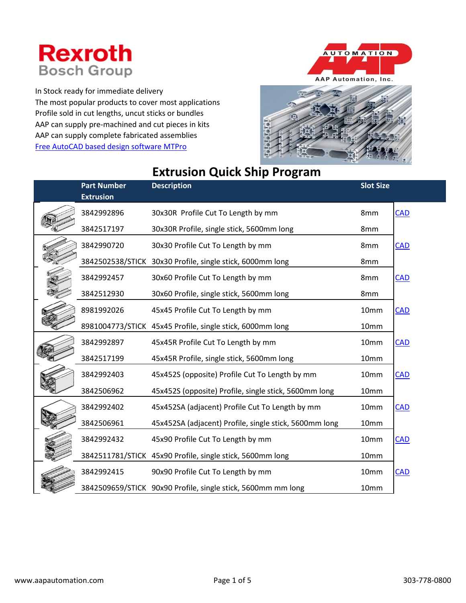## **Rexroth Bosch Group**

In Stock ready for immediate delivery The most popular products to cover most applications Profile sold in cut lengths, uncut sticks or bundles AAP can supply pre-machined and cut pieces in kits AAP can supply complete fabricated assemblies [Free AutoCAD based design software MTPro](http://www.boschrexroth.com/en/us/products/product-groups/assembly-technology/mtpro-planning-software/index)





## **Extrusion Quick Ship Program**

| <b>Part Number</b><br><b>Extrusion</b> | <b>Description</b>                                           | <b>Slot Size</b> |            |
|----------------------------------------|--------------------------------------------------------------|------------------|------------|
| 3842992896                             | 30x30R Profile Cut To Length by mm                           | 8mm              | <b>CAD</b> |
| 3842517197                             | 30x30R Profile, single stick, 5600mm long                    | 8mm              |            |
| 3842990720                             | 30x30 Profile Cut To Length by mm                            | 8mm              | <b>CAD</b> |
|                                        | 3842502538/STICK 30x30 Profile, single stick, 6000mm long    | 8mm              |            |
| 3842992457                             | 30x60 Profile Cut To Length by mm                            | 8 <sub>mm</sub>  | <b>CAD</b> |
| 3842512930                             | 30x60 Profile, single stick, 5600mm long                     | 8mm              |            |
| 8981992026                             | 45x45 Profile Cut To Length by mm                            | 10mm             | <b>CAD</b> |
|                                        | 8981004773/STICK 45x45 Profile, single stick, 6000mm long    | 10mm             |            |
| 3842992897                             | 45x45R Profile Cut To Length by mm                           | 10mm             | <b>CAD</b> |
| 3842517199                             | 45x45R Profile, single stick, 5600mm long                    | 10mm             |            |
| 3842992403                             | 45x452S (opposite) Profile Cut To Length by mm               | 10mm             | <b>CAD</b> |
| 3842506962                             | 45x452S (opposite) Profile, single stick, 5600mm long        | 10mm             |            |
| 3842992402                             | 45x452SA (adjacent) Profile Cut To Length by mm              | 10mm             | <b>CAD</b> |
| 3842506961                             | 45x452SA (adjacent) Profile, single stick, 5600mm long       | 10mm             |            |
| 3842992432                             | 45x90 Profile Cut To Length by mm                            | 10mm             | <b>CAD</b> |
|                                        | 3842511781/STICK 45x90 Profile, single stick, 5600mm long    | 10mm             |            |
| 3842992415                             | 90x90 Profile Cut To Length by mm                            | 10mm             | <b>CAD</b> |
|                                        | 3842509659/STICK 90x90 Profile, single stick, 5600mm mm long | 10mm             |            |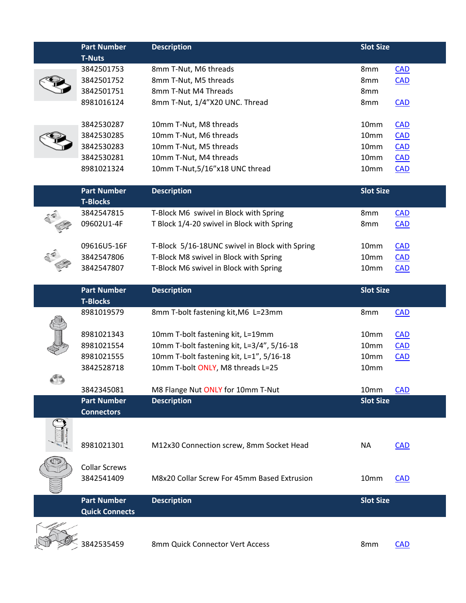| <b>T-Nuts</b><br>3842501753<br>3842501752<br>3842501751<br>8981016124<br>3842530287<br>3842530285<br>3842530283<br>3842530281<br>8981021324<br><b>Part Number</b><br><b>T-Blocks</b><br>3842547815 | 8mm T-Nut, M6 threads<br>8mm T-Nut, M5 threads<br>8mm T-Nut M4 Threads<br>8mm T-Nut, 1/4"X20 UNC. Thread<br>10mm T-Nut, M8 threads<br>10mm T-Nut, M6 threads<br>10mm T-Nut, M5 threads<br>10mm T-Nut, M4 threads<br>10mm T-Nut, 5/16"x18 UNC thread<br><b>Description</b> | 8mm<br>8mm<br>8mm<br>8mm<br>10mm<br>10mm<br>10mm<br>10mm<br>10mm | <b>CAD</b><br>CAD<br><b>CAD</b><br><b>CAD</b><br>CAD<br><b>CAD</b><br>$CAD$<br><b>CAD</b> |
|----------------------------------------------------------------------------------------------------------------------------------------------------------------------------------------------------|---------------------------------------------------------------------------------------------------------------------------------------------------------------------------------------------------------------------------------------------------------------------------|------------------------------------------------------------------|-------------------------------------------------------------------------------------------|
|                                                                                                                                                                                                    |                                                                                                                                                                                                                                                                           |                                                                  |                                                                                           |
|                                                                                                                                                                                                    |                                                                                                                                                                                                                                                                           |                                                                  |                                                                                           |
|                                                                                                                                                                                                    |                                                                                                                                                                                                                                                                           |                                                                  |                                                                                           |
|                                                                                                                                                                                                    |                                                                                                                                                                                                                                                                           |                                                                  |                                                                                           |
|                                                                                                                                                                                                    |                                                                                                                                                                                                                                                                           |                                                                  |                                                                                           |
|                                                                                                                                                                                                    |                                                                                                                                                                                                                                                                           |                                                                  |                                                                                           |
|                                                                                                                                                                                                    |                                                                                                                                                                                                                                                                           |                                                                  |                                                                                           |
|                                                                                                                                                                                                    |                                                                                                                                                                                                                                                                           |                                                                  |                                                                                           |
|                                                                                                                                                                                                    |                                                                                                                                                                                                                                                                           |                                                                  |                                                                                           |
|                                                                                                                                                                                                    |                                                                                                                                                                                                                                                                           |                                                                  |                                                                                           |
|                                                                                                                                                                                                    |                                                                                                                                                                                                                                                                           |                                                                  |                                                                                           |
|                                                                                                                                                                                                    |                                                                                                                                                                                                                                                                           |                                                                  |                                                                                           |
|                                                                                                                                                                                                    |                                                                                                                                                                                                                                                                           | <b>Slot Size</b>                                                 |                                                                                           |
|                                                                                                                                                                                                    | T-Block M6 swivel in Block with Spring                                                                                                                                                                                                                                    | 8mm                                                              | CAD                                                                                       |
| 09602U1-4F                                                                                                                                                                                         | T Block 1/4-20 swivel in Block with Spring                                                                                                                                                                                                                                | 8mm                                                              | <b>CAD</b>                                                                                |
|                                                                                                                                                                                                    |                                                                                                                                                                                                                                                                           |                                                                  |                                                                                           |
| 09616U5-16F                                                                                                                                                                                        | T-Block 5/16-18UNC swivel in Block with Spring                                                                                                                                                                                                                            | 10mm                                                             | <b>CAD</b>                                                                                |
| 3842547806                                                                                                                                                                                         | T-Block M8 swivel in Block with Spring                                                                                                                                                                                                                                    | 10mm                                                             | <b>CAD</b>                                                                                |
| 3842547807                                                                                                                                                                                         | T-Block M6 swivel in Block with Spring                                                                                                                                                                                                                                    | 10mm                                                             | <b>CAD</b>                                                                                |
|                                                                                                                                                                                                    |                                                                                                                                                                                                                                                                           |                                                                  |                                                                                           |
| <b>Part Number</b>                                                                                                                                                                                 | <b>Description</b>                                                                                                                                                                                                                                                        | <b>Slot Size</b>                                                 |                                                                                           |
| <b>T-Blocks</b>                                                                                                                                                                                    |                                                                                                                                                                                                                                                                           |                                                                  |                                                                                           |
| 8981019579                                                                                                                                                                                         | 8mm T-bolt fastening kit, M6 L=23mm                                                                                                                                                                                                                                       | 8mm                                                              | <b>CAD</b>                                                                                |
|                                                                                                                                                                                                    |                                                                                                                                                                                                                                                                           |                                                                  |                                                                                           |
| 8981021343                                                                                                                                                                                         | 10mm T-bolt fastening kit, L=19mm                                                                                                                                                                                                                                         | 10mm                                                             | <b>CAD</b>                                                                                |
| 8981021554                                                                                                                                                                                         | 10mm T-bolt fastening kit, L=3/4", 5/16-18                                                                                                                                                                                                                                | 10mm                                                             | $CAD$                                                                                     |
| 8981021555                                                                                                                                                                                         | 10mm T-bolt fastening kit, L=1", 5/16-18                                                                                                                                                                                                                                  | 10mm                                                             | <b>CAD</b>                                                                                |
| 3842528718                                                                                                                                                                                         | 10mm T-bolt ONLY, M8 threads L=25                                                                                                                                                                                                                                         | 10mm                                                             |                                                                                           |
| 3842345081                                                                                                                                                                                         | M8 Flange Nut ONLY for 10mm T-Nut                                                                                                                                                                                                                                         | 10mm                                                             | <b>CAD</b>                                                                                |
| <b>Part Number</b>                                                                                                                                                                                 | <b>Description</b>                                                                                                                                                                                                                                                        | <b>Slot Size</b>                                                 |                                                                                           |
| <b>Connectors</b>                                                                                                                                                                                  |                                                                                                                                                                                                                                                                           |                                                                  |                                                                                           |
|                                                                                                                                                                                                    |                                                                                                                                                                                                                                                                           |                                                                  |                                                                                           |
|                                                                                                                                                                                                    |                                                                                                                                                                                                                                                                           |                                                                  |                                                                                           |
| 8981021301                                                                                                                                                                                         | M12x30 Connection screw, 8mm Socket Head                                                                                                                                                                                                                                  | <b>NA</b>                                                        | <b>CAD</b>                                                                                |
|                                                                                                                                                                                                    |                                                                                                                                                                                                                                                                           |                                                                  |                                                                                           |
| <b>Collar Screws</b>                                                                                                                                                                               |                                                                                                                                                                                                                                                                           |                                                                  |                                                                                           |
| 3842541409                                                                                                                                                                                         | M8x20 Collar Screw For 45mm Based Extrusion                                                                                                                                                                                                                               | 10mm                                                             | <b>CAD</b>                                                                                |
|                                                                                                                                                                                                    |                                                                                                                                                                                                                                                                           |                                                                  |                                                                                           |
|                                                                                                                                                                                                    | <b>Description</b>                                                                                                                                                                                                                                                        | <b>Slot Size</b>                                                 |                                                                                           |
| <b>Quick Connects</b>                                                                                                                                                                              |                                                                                                                                                                                                                                                                           |                                                                  |                                                                                           |
|                                                                                                                                                                                                    |                                                                                                                                                                                                                                                                           |                                                                  |                                                                                           |
| 3842535459                                                                                                                                                                                         | 8mm Quick Connector Vert Access                                                                                                                                                                                                                                           | 8mm                                                              | CAD                                                                                       |
| <b>Part Number</b>                                                                                                                                                                                 |                                                                                                                                                                                                                                                                           |                                                                  |                                                                                           |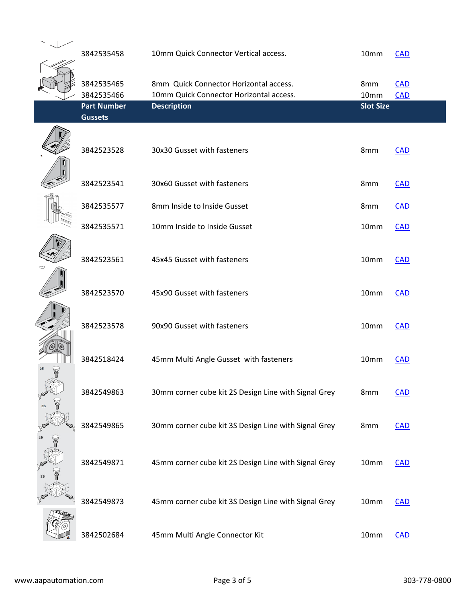| 3842535458         | 10mm Quick Connector Vertical access.                | 10mm             | <b>CAD</b> |
|--------------------|------------------------------------------------------|------------------|------------|
| 3842535465         | 8mm Quick Connector Horizontal access.               | 8mm              | <b>CAD</b> |
| 3842535466         | 10mm Quick Connector Horizontal access.              | 10mm             | <b>CAD</b> |
| <b>Part Number</b> | <b>Description</b>                                   | <b>Slot Size</b> |            |
| <b>Gussets</b>     |                                                      |                  |            |
| 3842523528         | 30x30 Gusset with fasteners                          | 8mm              | <b>CAD</b> |
| 3842523541         | 30x60 Gusset with fasteners                          | 8mm              | $CAD$      |
| 3842535577         | 8mm Inside to Inside Gusset                          | 8mm              | $CAD$      |
| 3842535571         | 10mm Inside to Inside Gusset                         | 10mm             | <b>CAD</b> |
| 3842523561         | 45x45 Gusset with fasteners                          | 10mm             | <b>CAD</b> |
| 3842523570         | 45x90 Gusset with fasteners                          | 10mm             | <b>CAD</b> |
| 3842523578         | 90x90 Gusset with fasteners                          | 10mm             | <b>CAD</b> |
| 3842518424         | 45mm Multi Angle Gusset with fasteners               | 10mm             | <b>CAD</b> |
| 3842549863         | 30mm corner cube kit 2S Design Line with Signal Grey | 8mm              | <b>CAD</b> |
| 3842549865         | 30mm corner cube kit 3S Design Line with Signal Grey | 8mm              | <b>CAD</b> |
| 3842549871         | 45mm corner cube kit 2S Design Line with Signal Grey | 10mm             | <b>CAD</b> |
| 3842549873         | 45mm corner cube kit 3S Design Line with Signal Grey | 10mm             | <b>CAD</b> |
| 3842502684         | 45mm Multi Angle Connector Kit                       | 10mm             | <b>CAD</b> |